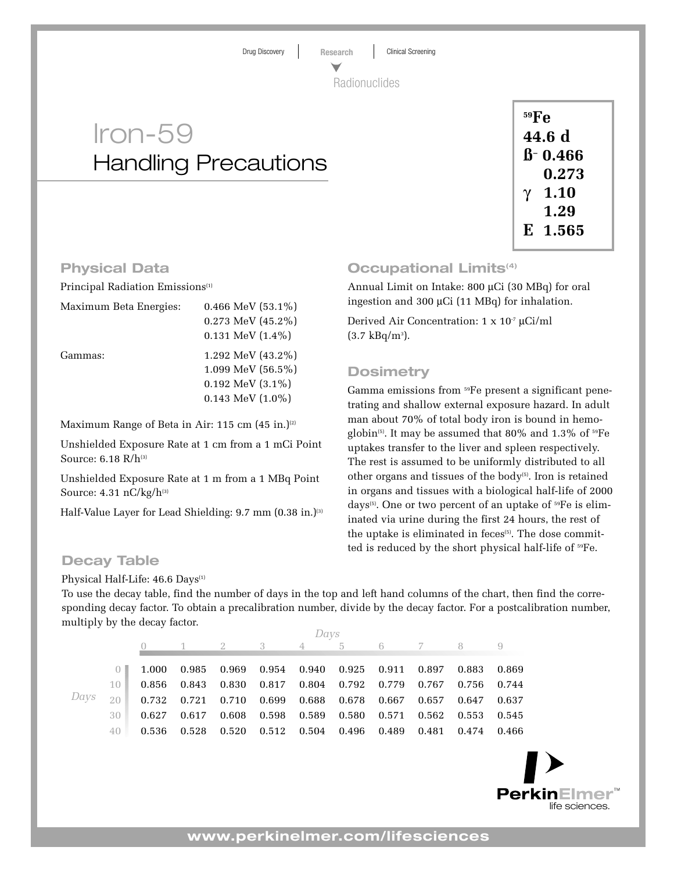Drug Discovery **Research** Clinical Screening

Radionuclides

# Iron-59 Handling Precautions

| $^{59}Fe$ |             |  |  |  |  |  |
|-----------|-------------|--|--|--|--|--|
| 44.6 d    |             |  |  |  |  |  |
|           | $B - 0.466$ |  |  |  |  |  |
|           | 0.273       |  |  |  |  |  |
| γ         | 1.10        |  |  |  |  |  |
|           | 1.29        |  |  |  |  |  |
|           | E 1.565     |  |  |  |  |  |

#### **Physical Data**

Principal Radiation Emissions<sup>(1)</sup>

| Maximum Beta Energies: | 0.466 MeV $(53.1\%)$        |  |  |  |  |
|------------------------|-----------------------------|--|--|--|--|
|                        | $0.273$ MeV $(45.2\%)$      |  |  |  |  |
|                        | $0.131$ MeV $(1.4\%)$       |  |  |  |  |
| Gammas:                | 1.292 MeV $(43.2\%)$        |  |  |  |  |
|                        | $1.099$ MeV $(56.5\%)$      |  |  |  |  |
|                        | $0.192 \text{ MeV} (3.1\%)$ |  |  |  |  |
|                        | $0.143$ MeV $(1.0\%)$       |  |  |  |  |
|                        |                             |  |  |  |  |

Maximum Range of Beta in Air: 115 cm  $(45$  in.)<sup>(2)</sup>

Unshielded Exposure Rate at 1 cm from a 1 mCi Point Source:  $6.18$  R/ $h^{(3)}$ 

Unshielded Exposure Rate at 1 m from a 1 MBq Point Source:  $4.31 \text{ nC/kg/h}^{(3)}$ 

Half-Value Layer for Lead Shielding: 9.7 mm (0.38 in.)<sup>(3)</sup>

## **Occupational Limits<sup>(4)</sup>**

Annual Limit on Intake: 800 µCi (30 MBq) for oral ingestion and 300 µCi (11 MBq) for inhalation.

Derived Air Concentration: 1 x 10-7 µCi/ml  $(3.7 \text{ kBq/m}^3).$ 

### **Dosimetry**

Gamma emissions from 59Fe present a significant penetrating and shallow external exposure hazard. In adult man about 70% of total body iron is bound in hemoglobin<sup>(5)</sup>. It may be assumed that 80% and 1.3% of  ${}^{59}Fe$ uptakes transfer to the liver and spleen respectively. The rest is assumed to be uniformly distributed to all other organs and tissues of the body<sup> $(5)$ </sup>. Iron is retained in organs and tissues with a biological half-life of 2000 days(5). One or two percent of an uptake of 59Fe is eliminated via urine during the first 24 hours, the rest of the uptake is eliminated in feces<sup>(5)</sup>. The dose committed is reduced by the short physical half-life of  $^{59}Fe$ .

#### **Decay Table**

Physical Half-Life: 46.6 Days<sup>(1)</sup>

To use the decay table, find the number of days in the top and left hand columns of the chart, then find the corresponding decay factor. To obtain a precalibration number, divide by the decay factor. For a postcalibration number, multiply by the decay factor.

|      |        | Davs |  |  |                                                                                 |  |  |  |  |  |  |  |
|------|--------|------|--|--|---------------------------------------------------------------------------------|--|--|--|--|--|--|--|
|      |        |      |  |  | 0 1 2 3 4 5 6 7 8 9                                                             |  |  |  |  |  |  |  |
|      |        |      |  |  |                                                                                 |  |  |  |  |  |  |  |
| Davs |        |      |  |  | 1.000 0.985 0.969 0.954 0.940 0.925 0.911 0.897 0.883 0.869                     |  |  |  |  |  |  |  |
|      | $10 -$ |      |  |  | 0.856 0.843 0.830 0.817 0.804 0.792 0.779 0.767 0.756 0.744                     |  |  |  |  |  |  |  |
|      | 20     |      |  |  | $0.732$ $0.721$ $0.710$ $0.699$ $0.688$ $0.678$ $0.667$ $0.657$ $0.647$ $0.637$ |  |  |  |  |  |  |  |
|      | 30     |      |  |  | $0.627$ $0.617$ $0.608$ $0.598$ $0.589$ $0.580$ $0.571$ $0.562$ $0.553$ $0.545$ |  |  |  |  |  |  |  |
|      | 40.    |      |  |  | 0.536 0.528 0.520 0.512 0.504 0.496 0.489 0.481 0.474 0.466                     |  |  |  |  |  |  |  |